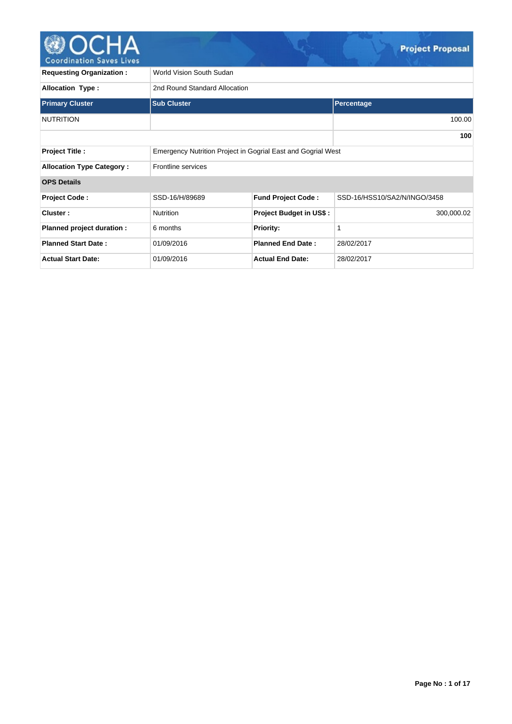

| <b>Requesting Organization:</b>  | World Vision South Sudan                                     |                                |                              |  |  |  |  |  |
|----------------------------------|--------------------------------------------------------------|--------------------------------|------------------------------|--|--|--|--|--|
| <b>Allocation Type:</b>          | 2nd Round Standard Allocation                                |                                |                              |  |  |  |  |  |
| <b>Primary Cluster</b>           | <b>Sub Cluster</b>                                           |                                | Percentage                   |  |  |  |  |  |
| <b>NUTRITION</b>                 |                                                              |                                | 100.00                       |  |  |  |  |  |
|                                  |                                                              |                                | 100                          |  |  |  |  |  |
| <b>Project Title:</b>            | Emergency Nutrition Project in Gogrial East and Gogrial West |                                |                              |  |  |  |  |  |
| <b>Allocation Type Category:</b> | <b>Frontline services</b>                                    |                                |                              |  |  |  |  |  |
| <b>OPS Details</b>               |                                                              |                                |                              |  |  |  |  |  |
| <b>Project Code:</b>             | SSD-16/H/89689                                               | <b>Fund Project Code:</b>      | SSD-16/HSS10/SA2/N/INGO/3458 |  |  |  |  |  |
| Cluster:                         | <b>Nutrition</b>                                             | <b>Project Budget in US\$:</b> | 300,000.02                   |  |  |  |  |  |
| Planned project duration :       | 6 months                                                     | <b>Priority:</b>               | 1                            |  |  |  |  |  |
| <b>Planned Start Date:</b>       | 01/09/2016                                                   | <b>Planned End Date:</b>       | 28/02/2017                   |  |  |  |  |  |
| <b>Actual Start Date:</b>        | 01/09/2016                                                   | <b>Actual End Date:</b>        | 28/02/2017                   |  |  |  |  |  |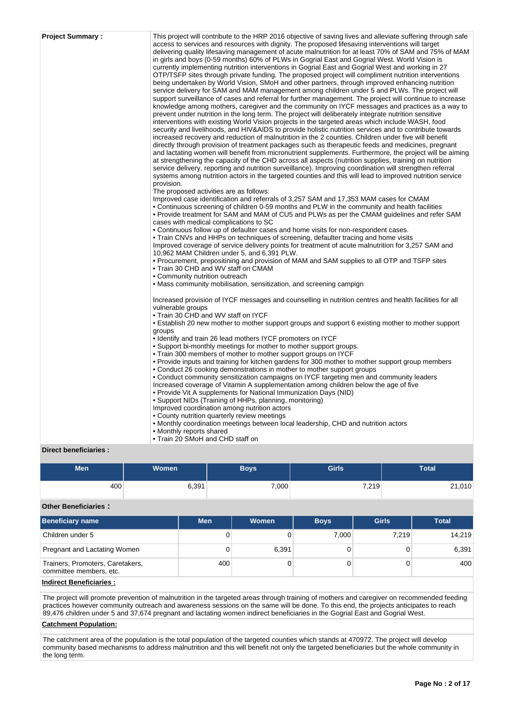| <b>Project Summary:</b> | This project will contribute to the HRP 2016 objective of saving lives and alleviate suffering through safe<br>access to services and resources with dignity. The proposed lifesaving interventions will target                                                                                                                                                                                                                                                                                                                                                                                                                                 |
|-------------------------|-------------------------------------------------------------------------------------------------------------------------------------------------------------------------------------------------------------------------------------------------------------------------------------------------------------------------------------------------------------------------------------------------------------------------------------------------------------------------------------------------------------------------------------------------------------------------------------------------------------------------------------------------|
|                         | delivering quality lifesaving management of acute malnutrition for at least 70% of SAM and 75% of MAM<br>in girls and boys (0-59 months) 60% of PLWs in Gogrial East and Gogrial West. World Vision is<br>currently implementing nutrition interventions in Gogrial East and Gogrial West and working in 27<br>OTP/TSFP sites through private funding. The proposed project will compliment nutrition interventions<br>being undertaken by World Vision, SMoH and other partners, through improved enhancing nutrition                                                                                                                          |
|                         | service delivery for SAM and MAM management among children under 5 and PLWs. The project will<br>support surveillance of cases and referral for further management. The project will continue to increase<br>knowledge among mothers, caregiver and the community on IYCF messages and practices as a way to<br>prevent under nutrition in the long term. The project will deliberately integrate nutrition sensitive                                                                                                                                                                                                                           |
|                         | interventions with existing World Vision projects in the targeted areas which include WASH, food<br>security and livelihoods, and HIV&AIDS to provide holistic nutrition services and to contribute towards<br>increased recovery and reduction of malnutrition in the 2 counties. Children under five will benefit<br>directly through provision of treatment packages such as therapeutic feeds and medicines, pregnant<br>and lactating women will benefit from micronutrient supplements. Furthermore, the project will be aiming<br>at strengthening the capacity of the CHD across all aspects (nutrition supplies, training on nutrition |
|                         | service delivery, reporting and nutrition surveillance). Improving coordination will strengthen referral<br>systems among nutrition actors in the targeted counties and this will lead to improved nutrition service<br>provision.                                                                                                                                                                                                                                                                                                                                                                                                              |
|                         | The proposed activities are as follows:<br>Improved case identification and referrals of 3,257 SAM and 17,353 MAM cases for CMAM<br>• Continuous screening of children 0-59 months and PLW in the community and health facilities<br>• Provide treatment for SAM and MAM of CU5 and PLWs as per the CMAM guidelines and refer SAM<br>cases with medical complications to SC                                                                                                                                                                                                                                                                     |
|                         | • Continuous follow up of defaulter cases and home visits for non-respondent cases.<br>• Train CNVs and HHPs on techniques of screening, defaulter tracing and home visits<br>Improved coverage of service delivery points for treatment of acute malnutrition for 3,257 SAM and<br>10,962 MAM Children under 5, and 6,391 PLW.                                                                                                                                                                                                                                                                                                                 |
|                         | • Procurement, prepositining and provision of MAM and SAM supplies to all OTP and TSFP sites<br>• Train 30 CHD and WV staff on CMAM<br>• Community nutrition outreach                                                                                                                                                                                                                                                                                                                                                                                                                                                                           |
|                         | • Mass community mobilisation, sensitization, and screening campign                                                                                                                                                                                                                                                                                                                                                                                                                                                                                                                                                                             |
|                         | Increased provision of IYCF messages and counselling in nutrition centres and health facilities for all<br>vulnerable groups                                                                                                                                                                                                                                                                                                                                                                                                                                                                                                                    |
|                         | • Train 30 CHD and WV staff on IYCF<br>• Establish 20 new mother to mother support groups and support 6 existing mother to mother support<br>groups                                                                                                                                                                                                                                                                                                                                                                                                                                                                                             |
|                         | • Identify and train 26 lead mothers IYCF promoters on IYCF<br>• Support bi-monthly meetings for mother to mother support groups.<br>• Train 300 members of mother to mother support groups on IYCF                                                                                                                                                                                                                                                                                                                                                                                                                                             |
|                         | • Provide inputs and training for kitchen gardens for 300 mother to mother support group members<br>• Conduct 26 cooking demonstrations in mother to mother support groups                                                                                                                                                                                                                                                                                                                                                                                                                                                                      |
|                         | • Conduct community sensitization campaigns on IYCF targeting men and community leaders<br>Increased coverage of Vitamin A supplementation among children below the age of five<br>• Provide Vit A supplements for National Immunization Days (NID)                                                                                                                                                                                                                                                                                                                                                                                             |
|                         | • Support NIDs (Training of HHPs, planning, monitoring)<br>Improved coordination among nutrition actors<br>• County nutrition quarterly review meetings                                                                                                                                                                                                                                                                                                                                                                                                                                                                                         |
|                         | • Monthly coordination meetings between local leadership, CHD and nutrition actors<br>• Monthly reports shared<br>• Train 20 SMoH and CHD staff on                                                                                                                                                                                                                                                                                                                                                                                                                                                                                              |

# **Direct beneficiaries :**

| Men | Women | <b>Boys</b> | <b>Girls</b> | Total  |
|-----|-------|-------------|--------------|--------|
| 400 | 6,391 | 7,000       | 7,219        | 21,010 |

# **Other Beneficiaries :**

| Beneficiary name                                            | <b>Men</b> | Women | <b>Boys</b> | <b>Girls</b> | <b>Total</b> |
|-------------------------------------------------------------|------------|-------|-------------|--------------|--------------|
| Children under 5                                            | 0          |       | 7.000       | 7.219        | 14.219       |
| Pregnant and Lactating Women                                | 0          | 6,391 |             |              | 6,391        |
| Trainers, Promoters, Caretakers,<br>committee members, etc. | 400        |       |             |              | 400          |
| <b>Indirect Beneficiaries:</b>                              |            |       |             |              |              |

The project will promote prevention of malnutrition in the targeted areas through training of mothers and caregiver on recommended feeding practices however community outreach and awareness sessions on the same will be done. To this end, the projects anticipates to reach 89,476 children under 5 and 37,674 pregnant and lactating women indirect beneficiaries in the Gogrial East and Gogrial West.

# **Catchment Population:**

The catchment area of the population is the total population of the targeted counties which stands at 470972. The project will develop community based mechanisms to address malnutrition and this will benefit not only the targeted beneficiaries but the whole community in the long term.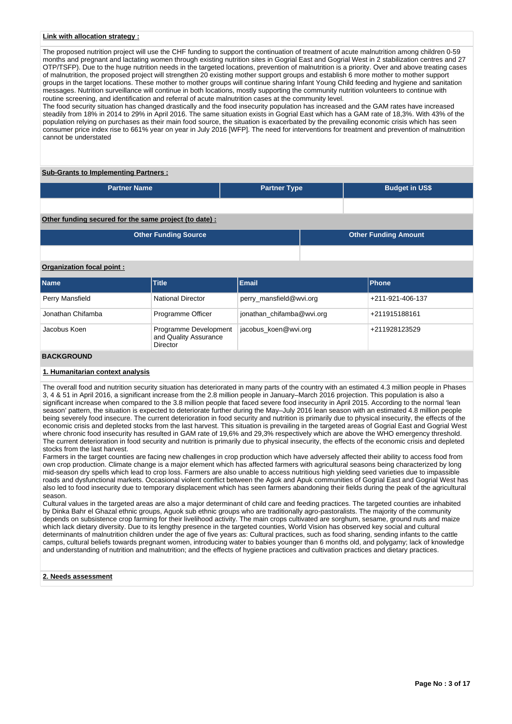## **Link with allocation strategy :**

The proposed nutrition project will use the CHF funding to support the continuation of treatment of acute malnutrition among children 0-59 months and pregnant and lactating women through existing nutrition sites in Gogrial East and Gogrial West in 2 stabilization centres and 27 OTP/TSFP). Due to the huge nutrition needs in the targeted locations, prevention of malnutrition is a priority. Over and above treating cases of malnutrition, the proposed project will strengthen 20 existing mother support groups and establish 6 more mother to mother support groups in the target locations. These mother to mother groups will continue sharing Infant Young Child feeding and hygiene and sanitation messages. Nutrition surveillance will continue in both locations, mostly supporting the community nutrition volunteers to continue with routine screening, and identification and referral of acute malnutrition cases at the community level.

The food security situation has changed drastically and the food insecurity population has increased and the GAM rates have increased steadily from 18% in 2014 to 29% in April 2016. The same situation exists in Gogrial East which has a GAM rate of 18,3%. With 43% of the population relying on purchases as their main food source, the situation is exacerbated by the prevailing economic crisis which has seen consumer price index rise to 661% year on year in July 2016 [WFP]. The need for interventions for treatment and prevention of malnutrition cannot be understated

#### **Sub-Grants to Implementing Partners :**

| <b>Partner Name</b> | <b>Partner Type</b> | <b>Budget in US\$</b> |
|---------------------|---------------------|-----------------------|
|                     |                     |                       |

**Other funding secured for the same project (to date) :**

| <b>Other Funding Source</b> | <b>Other Funding Amount</b> |
|-----------------------------|-----------------------------|
|                             |                             |

# **Organization focal point :**

| <b>Name</b>        | <b>Title</b>                                               | Email                     | <b>Phone</b>     |
|--------------------|------------------------------------------------------------|---------------------------|------------------|
| Perry Mansfield    | <b>National Director</b>                                   | perry_mansfield@wvi.org   | +211-921-406-137 |
| Jonathan Chifamba  | Programme Officer                                          | jonathan_chifamba@wvi.org | +211915188161    |
| Jacobus Koen       | Programme Development<br>and Quality Assurance<br>Director | jacobus koen@wvi.org      | +211928123529    |
| <b>DAOIADOIBID</b> |                                                            |                           |                  |

# **BACKGROUND**

# **1. Humanitarian context analysis**

The overall food and nutrition security situation has deteriorated in many parts of the country with an estimated 4.3 million people in Phases 3, 4 & 51 in April 2016, a significant increase from the 2.8 million people in January–March 2016 projection. This population is also a significant increase when compared to the 3.8 million people that faced severe food insecurity in April 2015. According to the normal 'lean season' pattern, the situation is expected to deteriorate further during the May–July 2016 lean season with an estimated 4.8 million people being severely food insecure. The current deterioration in food security and nutrition is primarily due to physical insecurity, the effects of the economic crisis and depleted stocks from the last harvest. This situation is prevailing in the targeted areas of Gogrial East and Gogrial West where chronic food insecurity has resulted in GAM rate of 19,6% and 29,3% respectively which are above the WHO emergency threshold. The current deterioration in food security and nutrition is primarily due to physical insecurity, the effects of the economic crisis and depleted stocks from the last harvest.

Farmers in the target counties are facing new challenges in crop production which have adversely affected their ability to access food from own crop production. Climate change is a major element which has affected farmers with agricultural seasons being characterized by long mid-season dry spells which lead to crop loss. Farmers are also unable to access nutritious high yielding seed varieties due to impassible roads and dysfunctional markets. Occasional violent conflict between the Agok and Apuk communities of Gogrial East and Gogrial West has also led to food insecurity due to temporary displacement which has seen farmers abandoning their fields during the peak of the agricultural season.

Cultural values in the targeted areas are also a major determinant of child care and feeding practices. The targeted counties are inhabited by Dinka Bahr el Ghazal ethnic groups, Aguok sub ethnic groups who are traditionally agro-pastoralists. The majority of the community depends on subsistence crop farming for their livelihood activity. The main crops cultivated are sorghum, sesame, ground nuts and maize which lack dietary diversity. Due to its lengthy presence in the targeted counties, World Vision has observed key social and cultural determinants of malnutrition children under the age of five years as: Cultural practices, such as food sharing, sending infants to the cattle camps, cultural beliefs towards pregnant women, introducing water to babies younger than 6 months old, and polygamy; lack of knowledge and understanding of nutrition and malnutrition; and the effects of hygiene practices and cultivation practices and dietary practices.

## **2. Needs assessment**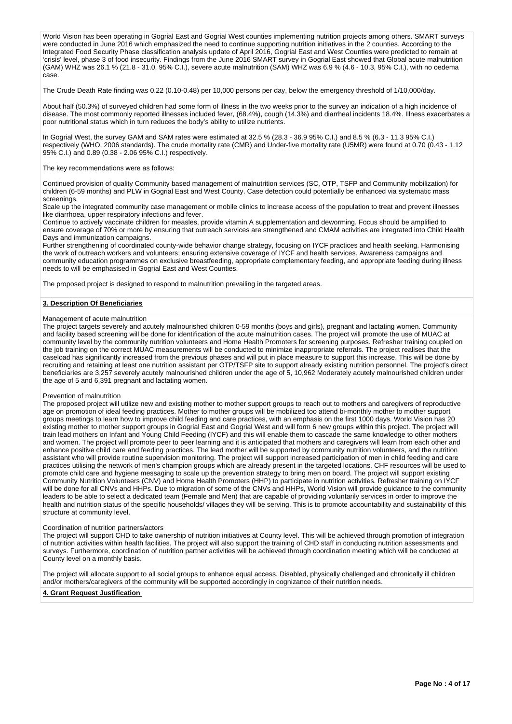World Vision has been operating in Gogrial East and Gogrial West counties implementing nutrition projects among others. SMART surveys were conducted in June 2016 which emphasized the need to continue supporting nutrition initiatives in the 2 counties. According to the Integrated Food Security Phase classification analysis update of April 2016, Gogrial East and West Counties were predicted to remain at 'crisis' level, phase 3 of food insecurity. Findings from the June 2016 SMART survey in Gogrial East showed that Global acute malnutrition (GAM) WHZ was 26.1 % (21.8 - 31.0, 95% C.I.), severe acute malnutrition (SAM) WHZ was 6.9 % (4.6 - 10.3, 95% C.I.), with no oedema case.

The Crude Death Rate finding was 0.22 (0.10-0.48) per 10,000 persons per day, below the emergency threshold of 1/10,000/day.

About half (50.3%) of surveyed children had some form of illness in the two weeks prior to the survey an indication of a high incidence of disease. The most commonly reported illnesses included fever, (68.4%), cough (14.3%) and diarrheal incidents 18.4%. Illness exacerbates a poor nutritional status which in turn reduces the body's ability to utilize nutrients.

In Gogrial West, the survey GAM and SAM rates were estimated at 32.5 % (28.3 - 36.9 95% C.I.) and 8.5 % (6.3 - 11.3 95% C.I.) respectively (WHO, 2006 standards). The crude mortality rate (CMR) and Under-five mortality rate (U5MR) were found at 0.70 (0.43 - 1.12 95% C.I.) and 0.89 (0.38 - 2.06 95% C.I.) respectively.

The key recommendations were as follows:

Continued provision of quality Community based management of malnutrition services (SC, OTP, TSFP and Community mobilization) for children (6-59 months) and PLW in Gogrial East and West County. Case detection could potentially be enhanced via systematic mass screenings.

Scale up the integrated community case management or mobile clinics to increase access of the population to treat and prevent illnesses like diarrhoea, upper respiratory infections and fever.

Continue to actively vaccinate children for measles, provide vitamin A supplementation and deworming. Focus should be amplified to ensure coverage of 70% or more by ensuring that outreach services are strengthened and CMAM activities are integrated into Child Health Days and immunization campaigns.

Further strengthening of coordinated county-wide behavior change strategy, focusing on IYCF practices and health seeking. Harmonising the work of outreach workers and volunteers; ensuring extensive coverage of IYCF and health services. Awareness campaigns and community education programmes on exclusive breastfeeding, appropriate complementary feeding, and appropriate feeding during illness needs to will be emphasised in Gogrial East and West Counties.

The proposed project is designed to respond to malnutrition prevailing in the targeted areas.

#### **3. Description Of Beneficiaries**

#### Management of acute malnutrition

The project targets severely and acutely malnourished children 0-59 months (boys and girls), pregnant and lactating women. Community and facility based screening will be done for identification of the acute malnutrition cases. The project will promote the use of MUAC at community level by the community nutrition volunteers and Home Health Promoters for screening purposes. Refresher training coupled on the job training on the correct MUAC measurements will be conducted to minimize inappropriate referrals. The project realises that the caseload has significantly increased from the previous phases and will put in place measure to support this increase. This will be done by recruiting and retaining at least one nutrition assistant per OTP/TSFP site to support already existing nutrition personnel. The project's direct beneficiaries are 3,257 severely acutely malnourished children under the age of 5, 10,962 Moderately acutely malnourished children under the age of 5 and 6,391 pregnant and lactating women.

#### Prevention of malnutrition

The proposed project will utilize new and existing mother to mother support groups to reach out to mothers and caregivers of reproductive age on promotion of ideal feeding practices. Mother to mother groups will be mobilized too attend bi-monthly mother to mother support groups meetings to learn how to improve child feeding and care practices, with an emphasis on the first 1000 days. World Vision has 20 existing mother to mother support groups in Gogrial East and Gogrial West and will form 6 new groups within this project. The project will train lead mothers on Infant and Young Child Feeding (IYCF) and this will enable them to cascade the same knowledge to other mothers and women. The project will promote peer to peer learning and it is anticipated that mothers and caregivers will learn from each other and enhance positive child care and feeding practices. The lead mother will be supported by community nutrition volunteers, and the nutrition assistant who will provide routine supervision monitoring. The project will support increased participation of men in child feeding and care practices utilising the network of men's champion groups which are already present in the targeted locations. CHF resources will be used to promote child care and hygiene messaging to scale up the prevention strategy to bring men on board. The project will support existing Community Nutrition Volunteers (CNV) and Home Health Promoters (HHP) to participate in nutrition activities. Refresher training on IYCF will be done for all CNVs and HHPs. Due to migration of some of the CNVs and HHPs, World Vision will provide guidance to the community leaders to be able to select a dedicated team (Female and Men) that are capable of providing voluntarily services in order to improve the health and nutrition status of the specific households/ villages they will be serving. This is to promote accountability and sustainability of this structure at community level.

#### Coordination of nutrition partners/actors

The project will support CHD to take ownership of nutrition initiatives at County level. This will be achieved through promotion of integration of nutrition activities within health facilities. The project will also support the training of CHD staff in conducting nutrition assessments and surveys. Furthermore, coordination of nutrition partner activities will be achieved through coordination meeting which will be conducted at County level on a monthly basis.

The project will allocate support to all social groups to enhance equal access. Disabled, physically challenged and chronically ill children and/or mothers/caregivers of the community will be supported accordingly in cognizance of their nutrition needs.

#### **4. Grant Request Justification**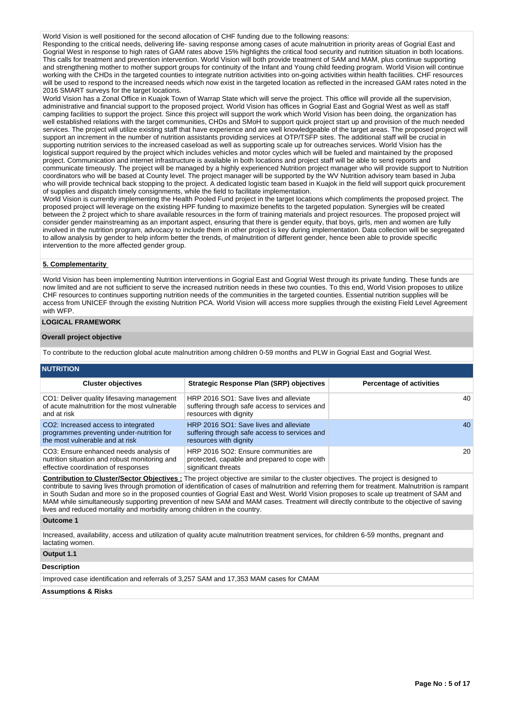World Vision is well positioned for the second allocation of CHF funding due to the following reasons:

Responding to the critical needs, delivering life- saving response among cases of acute malnutrition in priority areas of Gogrial East and Gogrial West in response to high rates of GAM rates above 15% highlights the critical food security and nutrition situation in both locations. This calls for treatment and prevention intervention. World Vision will both provide treatment of SAM and MAM, plus continue supporting and strengthening mother to mother support groups for continuity of the Infant and Young child feeding program. World Vision will continue working with the CHDs in the targeted counties to integrate nutrition activities into on-going activities within health facilities. CHF resources will be used to respond to the increased needs which now exist in the targeted location as reflected in the increased GAM rates noted in the 2016 SMART surveys for the target locations.

World Vision has a Zonal Office in Kuajok Town of Warrap State which will serve the project. This office will provide all the supervision, administrative and financial support to the proposed project. World Vision has offices in Gogrial East and Gogrial West as well as staff camping facilities to support the project. Since this project will support the work which World Vision has been doing, the organization has well established relations with the target communities, CHDs and SMoH to support quick project start up and provision of the much needed services. The project will utilize existing staff that have experience and are well knowledgeable of the target areas. The proposed project will support an increment in the number of nutrition assistants providing services at OTP/TSFP sites. The additional staff will be crucial in supporting nutrition services to the increased caseload as well as supporting scale up for outreaches services. World Vision has the logistical support required by the project which includes vehicles and motor cycles which will be fueled and maintained by the proposed project. Communication and internet infrastructure is available in both locations and project staff will be able to send reports and communicate timeously. The project will be managed by a highly experienced Nutrition project manager who will provide support to Nutrition coordinators who will be based at County level. The project manager will be supported by the WV Nutrition advisory team based in Juba who will provide technical back stopping to the project. A dedicated logistic team based in Kuajok in the field will support quick procurement of supplies and dispatch timely consignments, while the field to facilitate implementation.

World Vision is currently implementing the Health Pooled Fund project in the target locations which compliments the proposed project. The proposed project will leverage on the existing HPF funding to maximize benefits to the targeted population. Synergies will be created between the 2 project which to share available resources in the form of training materials and project resources. The proposed project will consider gender mainstreaming as an important aspect, ensuring that there is gender equity, that boys, girls, men and women are fully involved in the nutrition program, advocacy to include them in other project is key during implementation. Data collection will be segregated to allow analysis by gender to help inform better the trends, of malnutrition of different gender, hence been able to provide specific intervention to the more affected gender group.

#### **5. Complementarity**

World Vision has been implementing Nutrition interventions in Gogrial East and Gogrial West through its private funding. These funds are now limited and are not sufficient to serve the increased nutrition needs in these two counties. To this end, World Vision proposes to utilize CHF resources to continues supporting nutrition needs of the communities in the targeted counties. Essential nutrition supplies will be access from UNICEF through the existing Nutrition PCA. World Vision will access more supplies through the existing Field Level Agreement with WFP.

### **LOGICAL FRAMEWORK**

### **Overall project objective**

To contribute to the reduction global acute malnutrition among children 0-59 months and PLW in Gogrial East and Gogrial West.

| <b>NUTRITION</b>                                                                                                               |                                                                                                                   |                                 |
|--------------------------------------------------------------------------------------------------------------------------------|-------------------------------------------------------------------------------------------------------------------|---------------------------------|
| <b>Cluster objectives</b>                                                                                                      | <b>Strategic Response Plan (SRP) objectives</b>                                                                   | <b>Percentage of activities</b> |
| CO1: Deliver quality lifesaving management<br>of acute malnutrition for the most vulnerable<br>and at risk                     | HRP 2016 SO1: Save lives and alleviate<br>suffering through safe access to services and<br>resources with dignity | 40                              |
| CO2: Increased access to integrated<br>programmes preventing under-nutrition for<br>the most vulnerable and at risk            | HRP 2016 SO1: Save lives and alleviate<br>suffering through safe access to services and<br>resources with dignity | 40                              |
| CO3: Ensure enhanced needs analysis of<br>nutrition situation and robust monitoring and<br>effective coordination of responses | HRP 2016 SO2: Ensure communities are<br>protected, capable and prepared to cope with<br>significant threats       | <b>20</b>                       |

**Contribution to Cluster/Sector Objectives :** The project objective are similar to the cluster objectives. The project is designed to contribute to saving lives through promotion of identification of cases of malnutrition and referring them for treatment. Malnutrition is rampant in South Sudan and more so in the proposed counties of Gogrial East and West. World Vision proposes to scale up treatment of SAM and MAM while simultaneously supporting prevention of new SAM and MAM cases. Treatment will directly contribute to the objective of saving lives and reduced mortality and morbidity among children in the country.

#### **Outcome 1**

Increased, availability, access and utilization of quality acute malnutrition treatment services, for children 6-59 months, pregnant and lactating women.

## **Output 1.1**

## **Description**

Improved case identification and referrals of 3,257 SAM and 17,353 MAM cases for CMAM

## **Assumptions & Risks**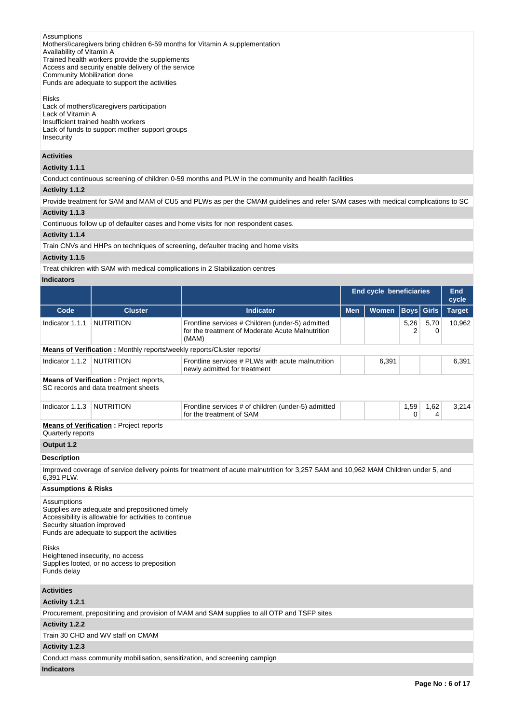# Assumptions

Mothers\\caregivers bring children 6-59 months for Vitamin A supplementation

Availability of Vitamin A

Trained health workers provide the supplements Access and security enable delivery of the service

Community Mobilization done

Funds are adequate to support the activities

# Risks

Lack of mothers\\caregivers participation Lack of Vitamin A Insufficient trained health workers Lack of funds to support mother support groups Insecurity

# **Activities**

# **Activity 1.1.1**

Conduct continuous screening of children 0-59 months and PLW in the community and health facilities

### **Activity 1.1.2**

Provide treatment for SAM and MAM of CU5 and PLWs as per the CMAM guidelines and refer SAM cases with medical complications to SC **Activity 1.1.3** 

Continuous follow up of defaulter cases and home visits for non respondent cases.

## **Activity 1.1.4**

Train CNVs and HHPs on techniques of screening, defaulter tracing and home visits

## **Activity 1.1.5**

Treat children with SAM with medical complications in 2 Stabilization centres

# **Indicators**

|                                                                                                                 |                                                                                                                                                         |                                                                                                                                     | <b>End cycle beneficiaries</b> |              |           |              | <b>End</b><br>cycle |
|-----------------------------------------------------------------------------------------------------------------|---------------------------------------------------------------------------------------------------------------------------------------------------------|-------------------------------------------------------------------------------------------------------------------------------------|--------------------------------|--------------|-----------|--------------|---------------------|
| Code                                                                                                            | <b>Cluster</b>                                                                                                                                          | <b>Indicator</b>                                                                                                                    | <b>Men</b>                     | <b>Women</b> | Boys      | <b>Girls</b> | <b>Target</b>       |
| Indicator 1.1.1                                                                                                 | <b>NUTRITION</b>                                                                                                                                        | Frontline services # Children (under-5) admitted<br>for the treatment of Moderate Acute Malnutrition<br>(MAM)                       |                                |              | 5,26<br>2 | 5,70<br>0    | 10,962              |
|                                                                                                                 | Means of Verification: Monthly reports/weekly reports/Cluster reports/                                                                                  |                                                                                                                                     |                                |              |           |              |                     |
| Indicator 1.1.2                                                                                                 | <b>NUTRITION</b>                                                                                                                                        | Frontline services # PLWs with acute malnutrition<br>newly admitted for treatment                                                   |                                | 6,391        |           |              | 6,391               |
|                                                                                                                 | <b>Means of Verification:</b> Project reports,<br>SC records and data treatment sheets                                                                  |                                                                                                                                     |                                |              |           |              |                     |
| Indicator 1.1.3                                                                                                 | <b>NUTRITION</b>                                                                                                                                        | Frontline services # of children (under-5) admitted<br>for the treatment of SAM                                                     |                                |              | 1,59<br>0 | 1,62<br>4    | 3,214               |
| Quarterly reports                                                                                               | <b>Means of Verification:</b> Project reports                                                                                                           |                                                                                                                                     |                                |              |           |              |                     |
| Output 1.2                                                                                                      |                                                                                                                                                         |                                                                                                                                     |                                |              |           |              |                     |
| <b>Description</b>                                                                                              |                                                                                                                                                         |                                                                                                                                     |                                |              |           |              |                     |
| 6.391 PLW.                                                                                                      |                                                                                                                                                         | Improved coverage of service delivery points for treatment of acute malnutrition for 3,257 SAM and 10,962 MAM Children under 5, and |                                |              |           |              |                     |
| <b>Assumptions &amp; Risks</b>                                                                                  |                                                                                                                                                         |                                                                                                                                     |                                |              |           |              |                     |
| Assumptions<br>Security situation improved                                                                      | Supplies are adequate and prepositioned timely<br>Accessibility is allowable for activities to continue<br>Funds are adequate to support the activities |                                                                                                                                     |                                |              |           |              |                     |
| <b>Risks</b><br>Heightened insecurity, no access<br>Supplies looted, or no access to preposition<br>Funds delay |                                                                                                                                                         |                                                                                                                                     |                                |              |           |              |                     |
| <b>Activities</b>                                                                                               |                                                                                                                                                         |                                                                                                                                     |                                |              |           |              |                     |
| Activity 1.2.1                                                                                                  |                                                                                                                                                         |                                                                                                                                     |                                |              |           |              |                     |
|                                                                                                                 |                                                                                                                                                         | Procurement, prepositining and provision of MAM and SAM supplies to all OTP and TSFP sites                                          |                                |              |           |              |                     |
| Activity 1.2.2                                                                                                  |                                                                                                                                                         |                                                                                                                                     |                                |              |           |              |                     |
|                                                                                                                 | Train 30 CHD and WV staff on CMAM                                                                                                                       |                                                                                                                                     |                                |              |           |              |                     |
| Activity 1.2.3                                                                                                  |                                                                                                                                                         |                                                                                                                                     |                                |              |           |              |                     |
|                                                                                                                 |                                                                                                                                                         | Conduct mass community mobilisation, sensitization, and screening campign                                                           |                                |              |           |              |                     |

**Indicators**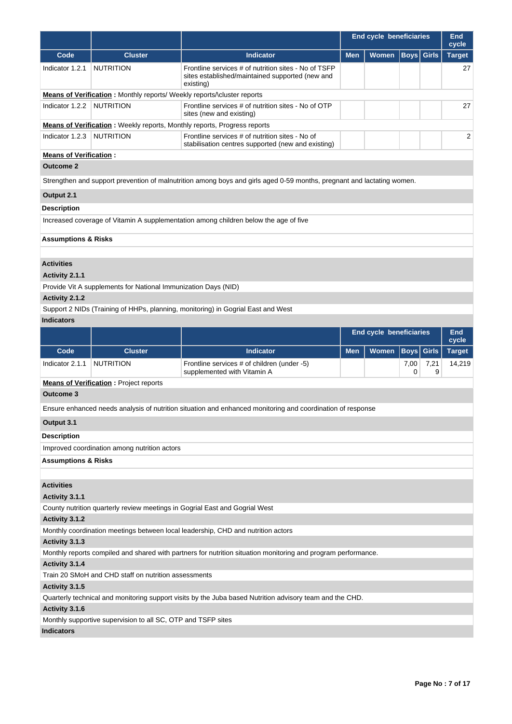|                                |                                                                                 |                                                                                                                        | <b>End cycle beneficiaries</b> |                         |                   | <b>End</b><br>cycle |                        |
|--------------------------------|---------------------------------------------------------------------------------|------------------------------------------------------------------------------------------------------------------------|--------------------------------|-------------------------|-------------------|---------------------|------------------------|
| Code                           | <b>Cluster</b>                                                                  | <b>Indicator</b>                                                                                                       | <b>Men</b>                     | Women                   | <b>Boys</b> Girls |                     | <b>Target</b>          |
| Indicator 1.2.1                | <b>NUTRITION</b>                                                                | Frontline services # of nutrition sites - No of TSFP<br>sites established/maintained supported (new and<br>existing)   |                                |                         |                   |                     | 27                     |
|                                | Means of Verification: Monthly reports/ Weekly reports/\cluster reports         |                                                                                                                        |                                |                         |                   |                     |                        |
| Indicator 1.2.2                | <b>NUTRITION</b>                                                                | Frontline services # of nutrition sites - No of OTP<br>sites (new and existing)                                        |                                |                         |                   |                     | 27                     |
|                                | <b>Means of Verification:</b> Weekly reports, Monthly reports, Progress reports |                                                                                                                        |                                |                         |                   |                     |                        |
| Indicator 1.2.3                | <b>NUTRITION</b>                                                                | Frontline services # of nutrition sites - No of<br>stabilisation centres supported (new and existing)                  |                                |                         |                   |                     | 2                      |
| <b>Means of Verification:</b>  |                                                                                 |                                                                                                                        |                                |                         |                   |                     |                        |
| <b>Outcome 2</b>               |                                                                                 |                                                                                                                        |                                |                         |                   |                     |                        |
|                                |                                                                                 | Strengthen and support prevention of malnutrition among boys and girls aged 0-59 months, pregnant and lactating women. |                                |                         |                   |                     |                        |
| Output 2.1                     |                                                                                 |                                                                                                                        |                                |                         |                   |                     |                        |
| <b>Description</b>             |                                                                                 |                                                                                                                        |                                |                         |                   |                     |                        |
|                                |                                                                                 | Increased coverage of Vitamin A supplementation among children below the age of five                                   |                                |                         |                   |                     |                        |
| <b>Assumptions &amp; Risks</b> |                                                                                 |                                                                                                                        |                                |                         |                   |                     |                        |
|                                |                                                                                 |                                                                                                                        |                                |                         |                   |                     |                        |
| <b>Activities</b>              |                                                                                 |                                                                                                                        |                                |                         |                   |                     |                        |
| Activity 2.1.1                 |                                                                                 |                                                                                                                        |                                |                         |                   |                     |                        |
|                                | Provide Vit A supplements for National Immunization Days (NID)                  |                                                                                                                        |                                |                         |                   |                     |                        |
| Activity 2.1.2                 |                                                                                 |                                                                                                                        |                                |                         |                   |                     |                        |
|                                |                                                                                 | Support 2 NIDs (Training of HHPs, planning, monitoring) in Gogrial East and West                                       |                                |                         |                   |                     |                        |
| <b>Indicators</b>              |                                                                                 |                                                                                                                        |                                |                         |                   |                     |                        |
|                                |                                                                                 |                                                                                                                        |                                | End cycle beneficiaries |                   |                     | <b>End</b>             |
| Code                           | <b>Cluster</b>                                                                  | <b>Indicator</b>                                                                                                       | <b>Men</b>                     | Women                   | <b>Boys</b> Girls |                     | cycle<br><b>Target</b> |
| Indicator 2.1.1                | <b>NUTRITION</b>                                                                | Frontline services # of children (under -5)<br>supplemented with Vitamin A                                             |                                |                         |                   | 7,21<br>9           | 14,219                 |
|                                | <b>Means of Verification:</b> Project reports                                   |                                                                                                                        |                                |                         | 0                 |                     |                        |
| Outcome 3                      |                                                                                 |                                                                                                                        |                                |                         |                   |                     |                        |
|                                |                                                                                 | Ensure enhanced needs analysis of nutrition situation and enhanced monitoring and coordination of response             |                                |                         |                   |                     |                        |
| Output 3.1                     |                                                                                 |                                                                                                                        |                                |                         |                   |                     |                        |
| <b>Description</b>             |                                                                                 |                                                                                                                        |                                |                         |                   |                     |                        |
|                                | Improved coordination among nutrition actors                                    |                                                                                                                        |                                |                         |                   |                     |                        |
| <b>Assumptions &amp; Risks</b> |                                                                                 |                                                                                                                        |                                |                         |                   |                     |                        |
|                                |                                                                                 |                                                                                                                        |                                |                         |                   |                     |                        |
| <b>Activities</b>              |                                                                                 |                                                                                                                        |                                |                         |                   |                     |                        |
| Activity 3.1.1                 |                                                                                 |                                                                                                                        |                                |                         |                   |                     |                        |
|                                |                                                                                 | County nutrition quarterly review meetings in Gogrial East and Gogrial West                                            |                                |                         |                   |                     |                        |
| Activity 3.1.2                 |                                                                                 |                                                                                                                        |                                |                         |                   |                     |                        |
|                                |                                                                                 | Monthly coordination meetings between local leadership, CHD and nutrition actors                                       |                                |                         |                   |                     |                        |
| Activity 3.1.3                 |                                                                                 |                                                                                                                        |                                |                         |                   |                     |                        |
|                                |                                                                                 | Monthly reports compiled and shared with partners for nutrition situation monitoring and program performance.          |                                |                         |                   |                     |                        |
| Activity 3.1.4                 |                                                                                 |                                                                                                                        |                                |                         |                   |                     |                        |
|                                | Train 20 SMoH and CHD staff on nutrition assessments                            |                                                                                                                        |                                |                         |                   |                     |                        |
| Activity 3.1.5                 |                                                                                 |                                                                                                                        |                                |                         |                   |                     |                        |
|                                |                                                                                 | Quarterly technical and monitoring support visits by the Juba based Nutrition advisory team and the CHD.               |                                |                         |                   |                     |                        |
| Activity 3.1.6                 |                                                                                 |                                                                                                                        |                                |                         |                   |                     |                        |
|                                | Monthly supportive supervision to all SC, OTP and TSFP sites                    |                                                                                                                        |                                |                         |                   |                     |                        |
| <b>Indicators</b>              |                                                                                 |                                                                                                                        |                                |                         |                   |                     |                        |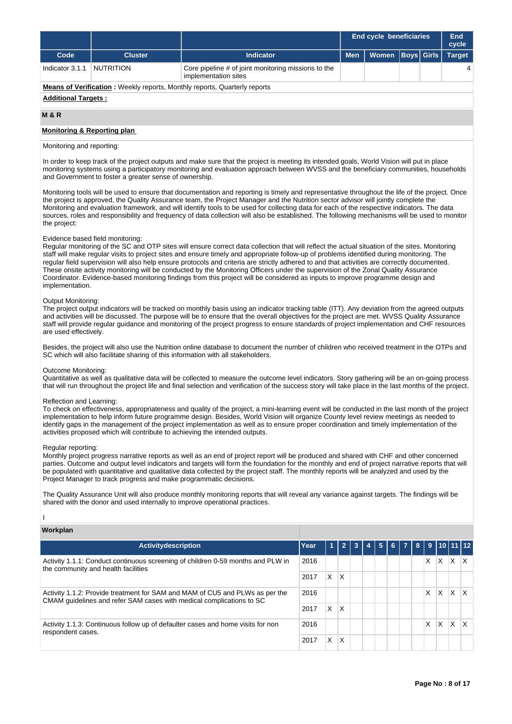|                                                                                  |                |                                                                             |            | <b>End cycle beneficiaries</b> |  |  | End<br>cycle  |  |
|----------------------------------------------------------------------------------|----------------|-----------------------------------------------------------------------------|------------|--------------------------------|--|--|---------------|--|
| Code                                                                             | <b>Cluster</b> | <b>Indicator</b>                                                            | <b>Men</b> | Women   Boys   Girls           |  |  | <b>Target</b> |  |
| Indicator 3.1.1                                                                  | NUTRITION      | Core pipeline # of joint monitoring missions to the<br>implementation sites |            |                                |  |  | 4             |  |
| <b>Means of Verification:</b> Weekly reports, Monthly reports, Quarterly reports |                |                                                                             |            |                                |  |  |               |  |
| <b>Additional Targets:</b>                                                       |                |                                                                             |            |                                |  |  |               |  |

#### **M & R**

## **Monitoring & Reporting plan**

## Monitoring and reporting:

In order to keep track of the project outputs and make sure that the project is meeting its intended goals, World Vision will put in place monitoring systems using a participatory monitoring and evaluation approach between WVSS and the beneficiary communities, households and Government to foster a greater sense of ownership.

Monitoring tools will be used to ensure that documentation and reporting is timely and representative throughout the life of the project. Once the project is approved, the Quality Assurance team, the Project Manager and the Nutrition sector advisor will jointly complete the Monitoring and evaluation framework, and will identify tools to be used for collecting data for each of the respective indicators. The data sources, roles and responsibility and frequency of data collection will also be established. The following mechanisms will be used to monitor the project:

## Evidence based field monitoring:

Regular monitoring of the SC and OTP sites will ensure correct data collection that will reflect the actual situation of the sites. Monitoring staff will make regular visits to project sites and ensure timely and appropriate follow-up of problems identified during monitoring. The regular field supervision will also help ensure protocols and criteria are strictly adhered to and that activities are correctly documented. These onsite activity monitoring will be conducted by the Monitoring Officers under the supervision of the Zonal Quality Assurance Coordinator. Evidence-based monitoring findings from this project will be considered as inputs to improve programme design and implementation.

#### Output Monitoring:

The project output indicators will be tracked on monthly basis using an indicator tracking table (ITT). Any deviation from the agreed outputs and activities will be discussed. The purpose will be to ensure that the overall objectives for the project are met. WVSS Quality Assurance staff will provide regular guidance and monitoring of the project progress to ensure standards of project implementation and CHF resources are used effectively.

Besides, the project will also use the Nutrition online database to document the number of children who received treatment in the OTPs and SC which will also facilitate sharing of this information with all stakeholders.

### Outcome Monitoring:

Quantitative as well as qualitative data will be collected to measure the outcome level indicators. Story gathering will be an on-going process that will run throughout the project life and final selection and verification of the success story will take place in the last months of the project.

#### Reflection and Learning:

To check on effectiveness, appropriateness and quality of the project, a mini-learning event will be conducted in the last month of the project implementation to help inform future programme design. Besides, World Vision will organize County level review meetings as needed to identify gaps in the management of the project implementation as well as to ensure proper coordination and timely implementation of the activities proposed which will contribute to achieving the intended outputs.

#### Regular reporting:

Monthly project progress narrative reports as well as an end of project report will be produced and shared with CHF and other concerned parties. Outcome and output level indicators and targets will form the foundation for the monthly and end of project narrative reports that will be populated with quantitative and qualitative data collected by the project staff. The monthly reports will be analyzed and used by the Project Manager to track progress and make programmatic decisions.

The Quality Assurance Unit will also produce monthly monitoring reports that will reveal any variance against targets. The findings will be shared with the donor and used internally to improve operational practices.

I

# **Workplan**

| Activitydescription                                                                                                    | Year | $\blacktriangleleft$ | $\overline{2}$ | -3 | 4 | $\overline{5}$ | $6 \mid 7 \mid 8 \mid$ |    |    | 9   10   11   12 |                         |
|------------------------------------------------------------------------------------------------------------------------|------|----------------------|----------------|----|---|----------------|------------------------|----|----|------------------|-------------------------|
| Activity 1.1.1: Conduct continuous screening of children 0-59 months and PLW in<br>the community and health facilities | 2016 |                      |                |    |   |                |                        | X. | X. | X                | ΙX                      |
|                                                                                                                        | 2017 | X.                   | ΙX             |    |   |                |                        |    |    |                  |                         |
| Activity 1.1.2: Provide treatment for SAM and MAM of CU5 and PLWs as per the                                           |      |                      |                |    |   |                |                        | X  | X. | ΙX.              | $\mathsf{I} \mathsf{X}$ |
| CMAM quidelines and refer SAM cases with medical complications to SC                                                   | 2017 | X.                   | <b>X</b>       |    |   |                |                        |    |    |                  |                         |
| Activity 1.1.3: Continuous follow up of defaulter cases and home visits for non<br>respondent cases.                   |      |                      |                |    |   |                |                        | X. | X. | X                | $\mathsf{I} \mathsf{X}$ |
|                                                                                                                        | 2017 | X.                   | X              |    |   |                |                        |    |    |                  |                         |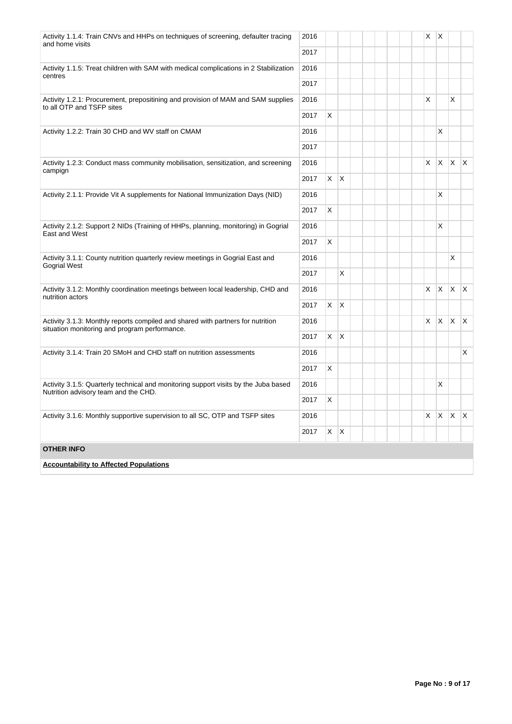| Activity 1.1.4: Train CNVs and HHPs on techniques of screening, defaulter tracing<br>and home visits                             | 2016<br>2017 |          |              |  | X  | ΙX |              |                         |
|----------------------------------------------------------------------------------------------------------------------------------|--------------|----------|--------------|--|----|----|--------------|-------------------------|
| Activity 1.1.5: Treat children with SAM with medical complications in 2 Stabilization                                            | 2016         |          |              |  |    |    |              |                         |
| centres                                                                                                                          | 2017         |          |              |  |    |    |              |                         |
| Activity 1.2.1: Procurement, prepositining and provision of MAM and SAM supplies<br>to all OTP and TSFP sites                    | 2016         |          |              |  | X  |    | X            |                         |
|                                                                                                                                  | 2017         | X        |              |  |    |    |              |                         |
| Activity 1.2.2: Train 30 CHD and WV staff on CMAM                                                                                | 2016         |          |              |  |    | X  |              |                         |
|                                                                                                                                  | 2017         |          |              |  |    |    |              |                         |
| Activity 1.2.3: Conduct mass community mobilisation, sensitization, and screening<br>campign                                     | 2016         |          |              |  | X. | X. | ΙX.          | İΧ                      |
|                                                                                                                                  | 2017         | X.       | ΙX.          |  |    |    |              |                         |
| Activity 2.1.1: Provide Vit A supplements for National Immunization Days (NID)                                                   | 2016         |          |              |  |    | X  |              |                         |
|                                                                                                                                  | 2017         | X        |              |  |    |    |              |                         |
| Activity 2.1.2: Support 2 NIDs (Training of HHPs, planning, monitoring) in Gogrial<br><b>East and West</b>                       | 2016         |          |              |  |    | X  |              |                         |
|                                                                                                                                  | 2017         | X        |              |  |    |    |              |                         |
| Activity 3.1.1: County nutrition quarterly review meetings in Gogrial East and<br>2016<br>Gogrial West                           |              |          |              |  |    |    | X            |                         |
|                                                                                                                                  | 2017         |          | X            |  |    |    |              |                         |
| Activity 3.1.2: Monthly coordination meetings between local leadership, CHD and<br>nutrition actors                              | 2016         |          |              |  | X. | X. | $X$ $X$      |                         |
|                                                                                                                                  | 2017         | X        | ΙX           |  |    |    |              |                         |
| Activity 3.1.3: Monthly reports compiled and shared with partners for nutrition<br>situation monitoring and program performance. | 2016         |          |              |  | X. | X. | <b>X</b>     | $\mathsf{I} \mathsf{X}$ |
|                                                                                                                                  | 2017         | $\times$ | $\mathsf{X}$ |  |    |    |              |                         |
| Activity 3.1.4: Train 20 SMoH and CHD staff on nutrition assessments                                                             | 2016         |          |              |  |    |    |              | X                       |
|                                                                                                                                  | 2017         | Χ        |              |  |    |    |              |                         |
| Activity 3.1.5: Quarterly technical and monitoring support visits by the Juba based<br>Nutrition advisory team and the CHD.      | 2016         |          |              |  |    | X  |              |                         |
|                                                                                                                                  |              |          |              |  |    |    |              |                         |
| Activity 3.1.6: Monthly supportive supervision to all SC, OTP and TSFP sites                                                     | 2016         |          |              |  | X. | X. | $\mathsf{X}$ | $\mathsf{X}$            |
|                                                                                                                                  | 2017         | X        | ΙX.          |  |    |    |              |                         |
| <b>OTHER INFO</b>                                                                                                                |              |          |              |  |    |    |              |                         |
| <b>Accountability to Affected Populations</b>                                                                                    |              |          |              |  |    |    |              |                         |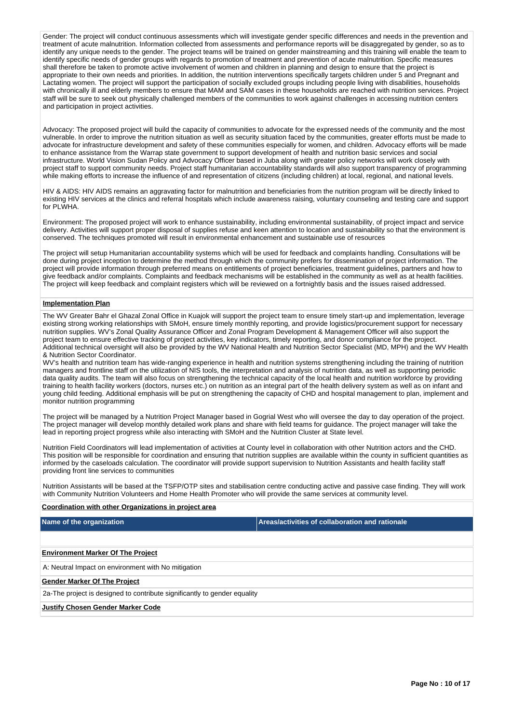Gender: The project will conduct continuous assessments which will investigate gender specific differences and needs in the prevention and treatment of acute malnutrition. Information collected from assessments and performance reports will be disaggregated by gender, so as to identify any unique needs to the gender. The project teams will be trained on gender mainstreaming and this training will enable the team to identify specific needs of gender groups with regards to promotion of treatment and prevention of acute malnutrition. Specific measures shall therefore be taken to promote active involvement of women and children in planning and design to ensure that the project is appropriate to their own needs and priorities. In addition, the nutrition interventions specifically targets children under 5 and Pregnant and Lactating women. The project will support the participation of socially excluded groups including people living with disabilities, households with chronically ill and elderly members to ensure that MAM and SAM cases in these households are reached with nutrition services. Project staff will be sure to seek out physically challenged members of the communities to work against challenges in accessing nutrition centers and participation in project activities.

Advocacy: The proposed project will build the capacity of communities to advocate for the expressed needs of the community and the most vulnerable. In order to improve the nutrition situation as well as security situation faced by the communities, greater efforts must be made to advocate for infrastructure development and safety of these communities especially for women, and children. Advocacy efforts will be made to enhance assistance from the Warrap state government to support development of health and nutrition basic services and social infrastructure. World Vision Sudan Policy and Advocacy Officer based in Juba along with greater policy networks will work closely with project staff to support community needs. Project staff humanitarian accountability standards will also support transparency of programming while making efforts to increase the influence of and representation of citizens (including children) at local, regional, and national levels.

HIV & AIDS: HIV AIDS remains an aggravating factor for malnutrition and beneficiaries from the nutrition program will be directly linked to existing HIV services at the clinics and referral hospitals which include awareness raising, voluntary counseling and testing care and support for PLWHA.

Environment: The proposed project will work to enhance sustainability, including environmental sustainability, of project impact and service delivery. Activities will support proper disposal of supplies refuse and keen attention to location and sustainability so that the environment is conserved. The techniques promoted will result in environmental enhancement and sustainable use of resources

The project will setup Humanitarian accountability systems which will be used for feedback and complaints handling. Consultations will be done during project inception to determine the method through which the community prefers for dissemination of project information. The project will provide information through preferred means on entitlements of project beneficiaries, treatment guidelines, partners and how to give feedback and/or complaints. Complaints and feedback mechanisms will be established in the community as well as at health facilities. The project will keep feedback and complaint registers which will be reviewed on a fortnightly basis and the issues raised addressed.

### **Implementation Plan**

The WV Greater Bahr el Ghazal Zonal Office in Kuajok will support the project team to ensure timely start-up and implementation, leverage existing strong working relationships with SMoH, ensure timely monthly reporting, and provide logistics/procurement support for necessary nutrition supplies. WV's Zonal Quality Assurance Officer and Zonal Program Development & Management Officer will also support the project team to ensure effective tracking of project activities, key indicators, timely reporting, and donor compliance for the project. Additional technical oversight will also be provided by the WV National Health and Nutrition Sector Specialist (MD, MPH) and the WV Health & Nutrition Sector Coordinator.

WV's health and nutrition team has wide-ranging experience in health and nutrition systems strengthening including the training of nutrition managers and frontline staff on the utilization of NIS tools, the interpretation and analysis of nutrition data, as well as supporting periodic data quality audits. The team will also focus on strengthening the technical capacity of the local health and nutrition workforce by providing training to health facility workers (doctors, nurses etc.) on nutrition as an integral part of the health delivery system as well as on infant and young child feeding. Additional emphasis will be put on strengthening the capacity of CHD and hospital management to plan, implement and monitor nutrition programming

The project will be managed by a Nutrition Project Manager based in Gogrial West who will oversee the day to day operation of the project. The project manager will develop monthly detailed work plans and share with field teams for guidance. The project manager will take the lead in reporting project progress while also interacting with SMoH and the Nutrition Cluster at State level.

Nutrition Field Coordinators will lead implementation of activities at County level in collaboration with other Nutrition actors and the CHD. This position will be responsible for coordination and ensuring that nutrition supplies are available within the county in sufficient quantities as informed by the caseloads calculation. The coordinator will provide support supervision to Nutrition Assistants and health facility staff providing front line services to communities

Nutrition Assistants will be based at the TSFP/OTP sites and stabilisation centre conducting active and passive case finding. They will work with Community Nutrition Volunteers and Home Health Promoter who will provide the same services at community level.

#### **Coordination with other Organizations in project area**

| Name of the organization                                                  | Areas/activities of collaboration and rationale |  |  |  |  |  |  |
|---------------------------------------------------------------------------|-------------------------------------------------|--|--|--|--|--|--|
|                                                                           |                                                 |  |  |  |  |  |  |
| <b>Environment Marker Of The Project</b>                                  |                                                 |  |  |  |  |  |  |
| A: Neutral Impact on environment with No mitigation                       |                                                 |  |  |  |  |  |  |
| <b>Gender Marker Of The Project</b>                                       |                                                 |  |  |  |  |  |  |
| 2a-The project is designed to contribute significantly to gender equality |                                                 |  |  |  |  |  |  |
| <b>Justify Chosen Gender Marker Code</b>                                  |                                                 |  |  |  |  |  |  |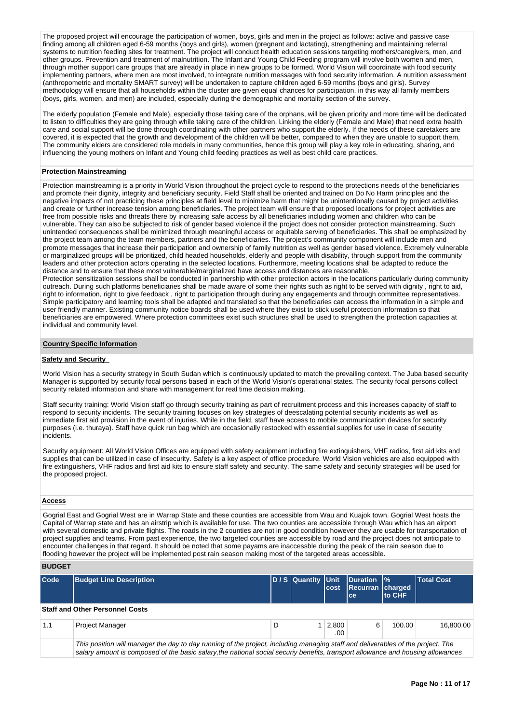The proposed project will encourage the participation of women, boys, girls and men in the project as follows: active and passive case finding among all children aged 6-59 months (boys and girls), women (pregnant and lactating), strengthening and maintaining referral systems to nutrition feeding sites for treatment. The project will conduct health education sessions targeting mothers/caregivers, men, and systems to nutrition feeding sites for treatment. The project will conduct health other groups. Prevention and treatment of malnutrition. The Infant and Young Child Feeding program will involve both women and men, through mother support care groups that are already in place in new groups to be formed. World Vision will coordinate with food security implementing partners, where men are most involved, to integrate nutrition messages with food security information. A nutrition assessment (anthropometric and mortality SMART survey) will be undertaken to capture children aged 6-59 months (boys and girls). Survey methodology will ensure that all households within the cluster are given equal chances for participation, in this way all family members (boys, girls, women, and men) are included, especially during the demographic and mortality section of the survey.

The elderly population (Female and Male), especially those taking care of the orphans, will be given priority and more time will be dedicated to listen to difficulties they are going through while taking care of the children. Linking the elderly (Female and Male) that need extra health care and social support will be done through coordinating with other partners who support the elderly. If the needs of these caretakers are covered, it is expected that the growth and development of the children will be better, compared to when they are unable to support them. The community elders are considered role models in many communities, hence this group will play a key role in educating, sharing, and influencing the young mothers on Infant and Young child feeding practices as well as best child care practices.

### **Protection Mainstreaming**

Protection mainstreaming is a priority in World Vision throughout the project cycle to respond to the protections needs of the beneficiaries and promote their dignity, integrity and beneficiary security. Field Staff shall be oriented and trained on Do No Harm principles and the negative impacts of not practicing these principles at field level to minimize harm that might be unintentionally caused by project activities and create or further increase tension among beneficiaries. The project team will ensure that proposed locations for project activities are free from possible risks and threats there by increasing safe access by all beneficiaries including women and children who can be vulnerable. They can also be subjected to risk of gender based violence if the project does not consider protection mainstreaming. Such unintended consequences shall be minimized through meaningful access or equitable serving of beneficiaries. This shall be emphasized by the project team among the team members, partners and the beneficiaries. The project's community component will include men and promote messages that increase their participation and ownership of family nutrition as well as gender based violence. Extremely vulnerable or marginalized groups will be prioritized, child headed households, elderly and people with disability, through support from the community leaders and other protection actors operating in the selected locations. Furthermore, meeting locations shall be adapted to reduce the distance and to ensure that these most vulnerable/marginalized have access and distances are reasonable.

Protection sensitization sessions shall be conducted in partnership with other protection actors in the locations particularly during community outreach. During such platforms beneficiaries shall be made aware of some their rights such as right to be served with dignity , right to aid, right to information, right to give feedback , right to participation through during any engagements and through committee representatives. Simple participatory and learning tools shall be adapted and translated so that the beneficiaries can access the information in a simple and user friendly manner. Existing community notice boards shall be used where they exist to stick useful protection information so that beneficiaries are empowered. Where protection committees exist such structures shall be used to strengthen the protection capacities at individual and community level.

### **Country Specific Information**

#### **Safety and Security**

World Vision has a security strategy in South Sudan which is continuously updated to match the prevailing context. The Juba based security Manager is supported by security focal persons based in each of the World Vision's operational states. The security focal persons collect security related information and share with management for real time decision making.

Staff security training: World Vision staff go through security training as part of recruitment process and this increases capacity of staff to respond to security incidents. The security training focuses on key strategies of deescalating potential security incidents as well as immediate first aid provision in the event of injuries. While in the field, staff have access to mobile communication devices for security purposes (i.e. thuraya). Staff have quick run bag which are occasionally restocked with essential supplies for use in case of security incidents.

Security equipment: All World Vision Offices are equipped with safety equipment including fire extinguishers, VHF radios, first aid kits and supplies that can be utilized in case of insecurity. Safety is a key aspect of office procedure. World Vision vehicles are also equipped with fire extinguishers, VHF radios and first aid kits to ensure staff safety and security. The same safety and security strategies will be used for the proposed project.

#### **Access**

Gogrial East and Gogrial West are in Warrap State and these counties are accessible from Wau and Kuajok town. Gogrial West hosts the Capital of Warrap state and has an airstrip which is available for use. The two counties are accessible through Wau which has an airport with several domestic and private flights. The roads in the 2 counties are not in good condition however they are usable for transportation of project supplies and teams. From past experience, the two targeted counties are accessible by road and the project does not anticipate to encounter challenges in that regard. It should be noted that some payams are inaccessble during the peak of the rain season due to flooding however the project will be implemented post rain season making most of the targeted areas accessible.

# **BUDGET**

| Code | <b>Budget Line Description</b>                                                                                                  |   | D / S Quantity Unit | cost         | Duration  %<br>Recurran charged<br>ce. | lto CHF | <b>Total Cost</b> |
|------|---------------------------------------------------------------------------------------------------------------------------------|---|---------------------|--------------|----------------------------------------|---------|-------------------|
|      | <b>Staff and Other Personnel Costs</b>                                                                                          |   |                     |              |                                        |         |                   |
| 1.1  | <b>Project Manager</b>                                                                                                          | D |                     | 2,800<br>.00 | 6                                      | 100.00  | 16.800.00         |
|      | This position will manager the day to day running of the project, including managing staff and deliverables of the project. The |   |                     |              |                                        |         |                   |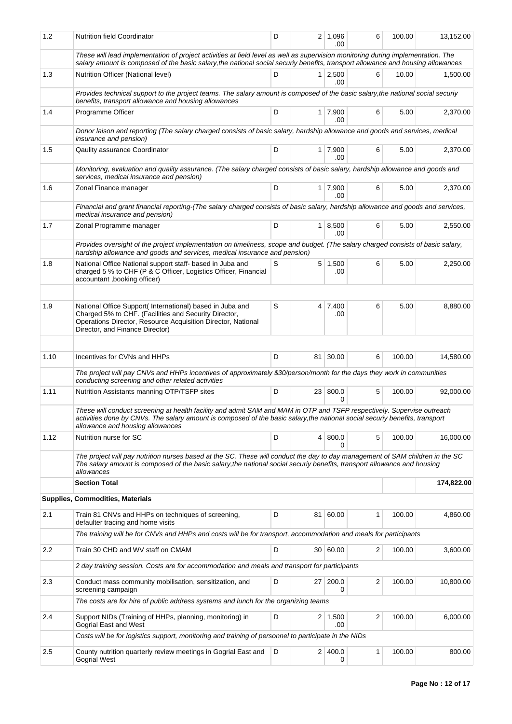| 1.2                                                                                                                                                                                     | <b>Nutrition field Coordinator</b>                                                                                                                                                                                                                                                       | D |  | $2 \mid 1,096$<br>.00        | 6 | 100.00 | 13,152.00  |  |
|-----------------------------------------------------------------------------------------------------------------------------------------------------------------------------------------|------------------------------------------------------------------------------------------------------------------------------------------------------------------------------------------------------------------------------------------------------------------------------------------|---|--|------------------------------|---|--------|------------|--|
|                                                                                                                                                                                         | These will lead implementation of project activities at field level as well as supervision monitoring during implementation. The<br>salary amount is composed of the basic salary, the national social securiy benefits, transport allowance and housing allowances                      |   |  |                              |   |        |            |  |
| 1.3                                                                                                                                                                                     | Nutrition Officer (National level)                                                                                                                                                                                                                                                       | D |  | $1 \mid 2,500$<br>.00        | 6 | 10.00  | 1,500.00   |  |
| Provides technical support to the project teams. The salary amount is composed of the basic salary, the national social securiy<br>benefits, transport allowance and housing allowances |                                                                                                                                                                                                                                                                                          |   |  |                              |   |        |            |  |
| 1.4                                                                                                                                                                                     | Programme Officer                                                                                                                                                                                                                                                                        | D |  | $1 \overline{7,900}$<br>.00. | 6 | 5.00   | 2,370.00   |  |
|                                                                                                                                                                                         | Donor laison and reporting (The salary charged consists of basic salary, hardship allowance and goods and services, medical<br>insurance and pension)                                                                                                                                    |   |  |                              |   |        |            |  |
| 1.5                                                                                                                                                                                     | Qaulity assurance Coordinator                                                                                                                                                                                                                                                            | D |  | $1 \mid 7,900$<br>.00        | 6 | 5.00   | 2,370.00   |  |
|                                                                                                                                                                                         | Monitoring, evaluation and quality assurance. (The salary charged consists of basic salary, hardship allowance and goods and<br>services, medical insurance and pension)                                                                                                                 |   |  |                              |   |        |            |  |
| 1.6                                                                                                                                                                                     | Zonal Finance manager                                                                                                                                                                                                                                                                    | D |  | $1 \mid 7,900$<br>.00        | 6 | 5.00   | 2,370.00   |  |
|                                                                                                                                                                                         | Financial and grant financial reporting-(The salary charged consists of basic salary, hardship allowance and goods and services,<br>medical insurance and pension)                                                                                                                       |   |  |                              |   |        |            |  |
| 1.7                                                                                                                                                                                     | Zonal Programme manager                                                                                                                                                                                                                                                                  | D |  | $1 \, 8,500$<br>.00.         | 6 | 5.00   | 2,550.00   |  |
|                                                                                                                                                                                         | Provides oversight of the project implementation on timeliness, scope and budget. (The salary charged consists of basic salary,<br>hardship allowance and goods and services, medical insurance and pension)                                                                             |   |  |                              |   |        |            |  |
| 1.8                                                                                                                                                                                     | National Office National support staff- based in Juba and<br>charged 5 % to CHF (P & C Officer, Logistics Officer, Financial<br>accountant , booking officer)                                                                                                                            | S |  | $5 \mid 1,500$<br>.00        | 6 | 5.00   | 2,250.00   |  |
|                                                                                                                                                                                         |                                                                                                                                                                                                                                                                                          |   |  |                              |   |        |            |  |
| 1.9                                                                                                                                                                                     | National Office Support(International) based in Juba and<br>Charged 5% to CHF. (Facilities and Security Director,<br>Operations Director, Resource Acquisition Director, National<br>Director, and Finance Director)                                                                     | S |  | 4 7,400<br>.00               | 6 | 5.00   | 8,880.00   |  |
|                                                                                                                                                                                         |                                                                                                                                                                                                                                                                                          |   |  |                              |   |        |            |  |
| 1.10                                                                                                                                                                                    | Incentives for CVNs and HHPs                                                                                                                                                                                                                                                             | D |  | 81 30.00                     | 6 | 100.00 | 14,580.00  |  |
|                                                                                                                                                                                         | The project will pay CNVs and HHPs incentives of approximately \$30/person/month for the days they work in communities<br>conducting screening and other related activities                                                                                                              |   |  |                              |   |        |            |  |
| 1.11                                                                                                                                                                                    | Nutrition Assistants manning OTP/TSFP sites                                                                                                                                                                                                                                              | D |  | 23 800.0<br><sup>0</sup>     | 5 | 100.00 | 92,000.00  |  |
|                                                                                                                                                                                         | These will conduct screening at health facility and admit SAM and MAM in OTP and TSFP respectively. Supervise outreach<br>activities done by CNVs. The salary amount is composed of the basic salary,the national social securiy benefits, transport<br>allowance and housing allowances |   |  |                              |   |        |            |  |
| 1.12                                                                                                                                                                                    | Nutrition nurse for SC                                                                                                                                                                                                                                                                   | D |  | 4 800.0<br>0                 | 5 | 100.00 | 16,000.00  |  |
|                                                                                                                                                                                         | The project will pay nutrition nurses based at the SC. These will conduct the day to day management of SAM children in the SC<br>The salary amount is composed of the basic salary, the national social securiy benefits, transport allowance and housing<br>allowances                  |   |  |                              |   |        |            |  |
|                                                                                                                                                                                         | <b>Section Total</b>                                                                                                                                                                                                                                                                     |   |  |                              |   |        | 174,822.00 |  |
|                                                                                                                                                                                         | <b>Supplies, Commodities, Materials</b>                                                                                                                                                                                                                                                  |   |  |                              |   |        |            |  |
| 2.1                                                                                                                                                                                     | Train 81 CNVs and HHPs on techniques of screening,<br>defaulter tracing and home visits                                                                                                                                                                                                  | D |  | 81 60.00                     | 1 | 100.00 | 4,860.00   |  |
|                                                                                                                                                                                         | The training will be for CNVs and HHPs and costs will be for transport, accommodation and meals for participants                                                                                                                                                                         |   |  |                              |   |        |            |  |
| 2.2                                                                                                                                                                                     | Train 30 CHD and WV staff on CMAM                                                                                                                                                                                                                                                        | D |  | 30 60.00                     | 2 | 100.00 | 3,600.00   |  |
|                                                                                                                                                                                         | 2 day training session. Costs are for accommodation and meals and transport for participants                                                                                                                                                                                             |   |  |                              |   |        |            |  |
| 2.3                                                                                                                                                                                     | Conduct mass community mobilisation, sensitization, and<br>screening campaign                                                                                                                                                                                                            | D |  | 27 200.0<br>0                | 2 | 100.00 | 10,800.00  |  |
|                                                                                                                                                                                         | The costs are for hire of public address systems and lunch for the organizing teams                                                                                                                                                                                                      |   |  |                              |   |        |            |  |
| 2.4                                                                                                                                                                                     | Support NIDs (Training of HHPs, planning, monitoring) in<br><b>Gogrial East and West</b>                                                                                                                                                                                                 | D |  | $2 \mid 1,500$<br>.00        | 2 | 100.00 | 6,000.00   |  |
|                                                                                                                                                                                         | Costs will be for logistics support, monitoring and training of personnel to participate in the NIDs                                                                                                                                                                                     |   |  |                              |   |        |            |  |
| 2.5                                                                                                                                                                                     | County nutrition quarterly review meetings in Gogrial East and<br><b>Gogrial West</b>                                                                                                                                                                                                    | D |  | 2   400.0<br>0               | 1 | 100.00 | 800.00     |  |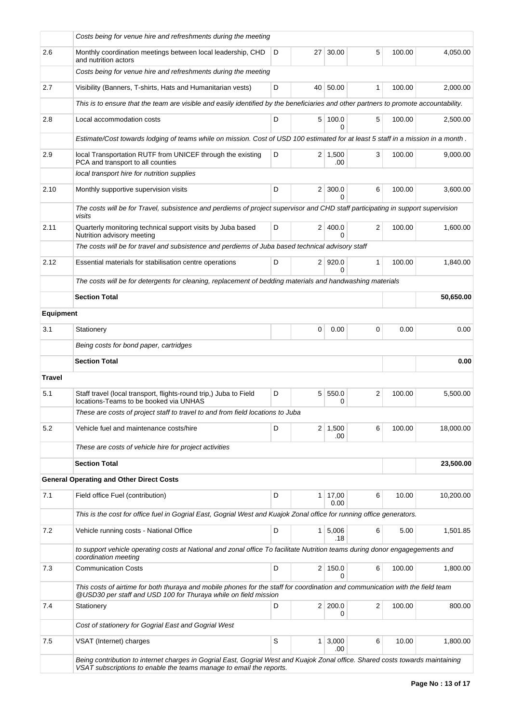|                  | Costs being for venue hire and refreshments during the meeting                                                                                                                                        |                     |                |                            |              |        |           |  |  |  |  |
|------------------|-------------------------------------------------------------------------------------------------------------------------------------------------------------------------------------------------------|---------------------|----------------|----------------------------|--------------|--------|-----------|--|--|--|--|
| 2.6              | Monthly coordination meetings between local leadership, CHD<br>and nutrition actors                                                                                                                   | D                   | 27             | 30.00                      | 5            | 100.00 | 4,050.00  |  |  |  |  |
|                  | Costs being for venue hire and refreshments during the meeting                                                                                                                                        |                     |                |                            |              |        |           |  |  |  |  |
| 2.7              | Visibility (Banners, T-shirts, Hats and Humanitarian vests)                                                                                                                                           | D                   |                | 40 50.00                   | $\mathbf{1}$ | 100.00 | 2,000.00  |  |  |  |  |
|                  | This is to ensure that the team are visible and easily identified by the beneficiaries and other partners to promote accountability.                                                                  |                     |                |                            |              |        |           |  |  |  |  |
| 2.8              | Local accommodation costs                                                                                                                                                                             | D                   |                | 5 100.0<br>$\Omega$        | 5            | 100.00 | 2,500.00  |  |  |  |  |
|                  | Estimate/Cost towards lodging of teams while on mission. Cost of USD 100 estimated for at least 5 staff in a mission in a month.                                                                      |                     |                |                            |              |        |           |  |  |  |  |
| 2.9              | local Transportation RUTF from UNICEF through the existing<br>PCA and transport to all counties                                                                                                       | D                   |                | $2 \mid 1,500$<br>.00      | 3            | 100.00 | 9,000.00  |  |  |  |  |
|                  | local transport hire for nutrition supplies                                                                                                                                                           |                     |                |                            |              |        |           |  |  |  |  |
| 2.10             | Monthly supportive supervision visits                                                                                                                                                                 | D                   |                | $2 \mid 300.0$<br>$\Omega$ | 6            | 100.00 | 3,600.00  |  |  |  |  |
|                  | The costs will be for Travel, subsistence and perdiems of project supervisor and CHD staff participating in support supervision<br>visits                                                             |                     |                |                            |              |        |           |  |  |  |  |
| 2.11             | Quarterly monitoring technical support visits by Juba based<br>Nutrition advisory meeting                                                                                                             | 2 400.0<br>$\Omega$ | 2              | 100.00                     | 1,600.00     |        |           |  |  |  |  |
|                  | The costs will be for travel and subsistence and perdiems of Juba based technical advisory staff                                                                                                      |                     |                |                            |              |        |           |  |  |  |  |
| 2.12             | Essential materials for stabilisation centre operations                                                                                                                                               | D                   |                | 2 920.0<br>0               | $\mathbf{1}$ | 100.00 | 1,840.00  |  |  |  |  |
|                  | The costs will be for detergents for cleaning, replacement of bedding materials and handwashing materials                                                                                             |                     |                |                            |              |        |           |  |  |  |  |
|                  | <b>Section Total</b>                                                                                                                                                                                  |                     |                |                            |              |        | 50,650.00 |  |  |  |  |
| <b>Equipment</b> |                                                                                                                                                                                                       |                     |                |                            |              |        |           |  |  |  |  |
| 3.1              | Stationery                                                                                                                                                                                            |                     | 0              | 0.00                       | 0            | 0.00   | 0.00      |  |  |  |  |
|                  | Being costs for bond paper, cartridges                                                                                                                                                                |                     |                |                            |              |        |           |  |  |  |  |
|                  | <b>Section Total</b>                                                                                                                                                                                  |                     |                |                            |              |        | 0.00      |  |  |  |  |
| <b>Travel</b>    |                                                                                                                                                                                                       |                     |                |                            |              |        |           |  |  |  |  |
| 5.1              | Staff travel (local transport, flights-round trip.) Juba to Field<br>locations-Teams to be booked via UNHAS                                                                                           | D                   | 5              | 550.0<br>0                 | 2            | 100.00 | 5,500.00  |  |  |  |  |
|                  | These are costs of project staff to travel to and from field locations to Juba                                                                                                                        |                     |                |                            |              |        |           |  |  |  |  |
| 5.2              | Vehicle fuel and maintenance costs/hire                                                                                                                                                               | D                   |                | $2 \mid 1,500$<br>.00      | 6            | 100.00 | 18,000.00 |  |  |  |  |
|                  | These are costs of vehicle hire for project activities                                                                                                                                                |                     |                |                            |              |        |           |  |  |  |  |
|                  | <b>Section Total</b>                                                                                                                                                                                  |                     |                |                            |              |        | 23,500.00 |  |  |  |  |
|                  | <b>General Operating and Other Direct Costs</b>                                                                                                                                                       |                     |                |                            |              |        |           |  |  |  |  |
| 7.1              | Field office Fuel (contribution)                                                                                                                                                                      | D                   | 1 <sup>1</sup> | 17,00<br>0.00              | 6            | 10.00  | 10,200.00 |  |  |  |  |
|                  | This is the cost for office fuel in Gogrial East, Gogrial West and Kuajok Zonal office for running office generators.                                                                                 |                     |                |                            |              |        |           |  |  |  |  |
| 7.2              | Vehicle running costs - National Office                                                                                                                                                               | D                   | 1 <sup>1</sup> | 5,006<br>.18               | 6            | 5.00   | 1,501.85  |  |  |  |  |
|                  | to support vehicle operating costs at National and zonal office To facilitate Nutrition teams during donor engagegements and<br>coordination meeting                                                  |                     |                |                            |              |        |           |  |  |  |  |
| 7.3              | <b>Communication Costs</b>                                                                                                                                                                            | D                   |                | 2 150.0<br>$\Omega$        | 6            | 100.00 | 1,800.00  |  |  |  |  |
|                  | This costs of airtime for both thuraya and mobile phones for the staff for coordination and communication with the field team<br>@USD30 per staff and USD 100 for Thuraya while on field mission      |                     |                |                            |              |        |           |  |  |  |  |
| 7.4              | Stationery                                                                                                                                                                                            | D                   |                | 2 200.0<br>0               | 2            | 100.00 | 800.00    |  |  |  |  |
|                  | Cost of stationery for Gogrial East and Gogrial West                                                                                                                                                  |                     |                |                            |              |        |           |  |  |  |  |
| 7.5              | VSAT (Internet) charges                                                                                                                                                                               | S                   |                | $1 \, 3,000$<br>.00        | 6            | 10.00  | 1,800.00  |  |  |  |  |
|                  | Being contribution to internet charges in Gogrial East, Gogrial West and Kuajok Zonal office. Shared costs towards maintaining<br>VSAT subscriptions to enable the teams manage to email the reports. |                     |                |                            |              |        |           |  |  |  |  |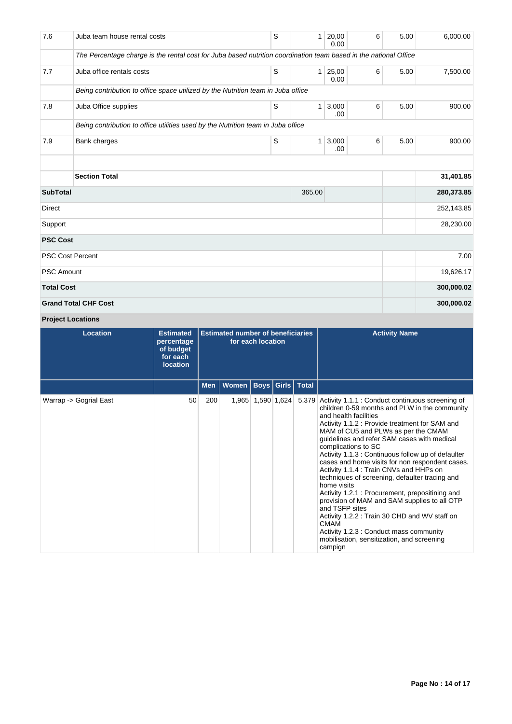| 7.6               | Juba team house rental costs                                                                                     | S         | 1            | 20,00<br>0.00 | 6 | 5.00 | 6,000.00   |
|-------------------|------------------------------------------------------------------------------------------------------------------|-----------|--------------|---------------|---|------|------------|
|                   | The Percentage charge is the rental cost for Juba based nutrition coordination team based in the national Office |           |              |               |   |      |            |
| 7.7               | Juba office rentals costs                                                                                        | S         | 1            | 25,00<br>0.00 | 6 | 5.00 | 7,500.00   |
|                   | Being contribution to office space utilized by the Nutrition team in Juba office                                 |           |              |               |   |      |            |
| 7.8               | Juba Office supplies                                                                                             | S         | $\mathbf{1}$ | 3,000<br>.00  | 6 | 5.00 | 900.00     |
|                   | Being contribution to office utilities used by the Nutrition team in Juba office                                 |           |              |               |   |      |            |
| 7.9               | Bank charges                                                                                                     | S         | $\mathbf{1}$ | 3,000<br>.00. | 6 | 5.00 | 900.00     |
|                   |                                                                                                                  |           |              |               |   |      |            |
|                   | <b>Section Total</b>                                                                                             |           |              |               |   |      | 31,401.85  |
| <b>SubTotal</b>   |                                                                                                                  |           | 365.00       |               |   |      | 280,373.85 |
| <b>Direct</b>     |                                                                                                                  |           |              |               |   |      | 252,143.85 |
| Support           |                                                                                                                  |           |              |               |   |      | 28,230.00  |
| <b>PSC Cost</b>   |                                                                                                                  |           |              |               |   |      |            |
|                   | <b>PSC Cost Percent</b>                                                                                          |           |              |               |   |      | 7.00       |
| <b>PSC Amount</b> |                                                                                                                  | 19,626.17 |              |               |   |      |            |
| <b>Total Cost</b> |                                                                                                                  |           |              |               |   |      | 300,000.02 |
|                   | <b>Grand Total CHF Cost</b>                                                                                      |           |              |               |   |      | 300,000.02 |

**Project Locations**

| Location               | <b>Estimated</b><br>percentage<br>of budget<br>for each<br><b>location</b> |     | <b>Estimated number of beneficiaries</b> | for each location |             |       | <b>Activity Name</b>                                                                                                                                                                                                                                                                                                                                                                                                                                                                                                                                                                                                                                                                                                                                                                                    |
|------------------------|----------------------------------------------------------------------------|-----|------------------------------------------|-------------------|-------------|-------|---------------------------------------------------------------------------------------------------------------------------------------------------------------------------------------------------------------------------------------------------------------------------------------------------------------------------------------------------------------------------------------------------------------------------------------------------------------------------------------------------------------------------------------------------------------------------------------------------------------------------------------------------------------------------------------------------------------------------------------------------------------------------------------------------------|
|                        |                                                                            | Men | Women   Boys   Girls   Total             |                   |             |       |                                                                                                                                                                                                                                                                                                                                                                                                                                                                                                                                                                                                                                                                                                                                                                                                         |
| Warrap -> Gogrial East | 50                                                                         | 200 | 1,965                                    |                   | 1,590 1,624 | 5,379 | Activity 1.1.1 : Conduct continuous screening of<br>children 0-59 months and PLW in the community<br>and health facilities<br>Activity 1.1.2 : Provide treatment for SAM and<br>MAM of CU5 and PLWs as per the CMAM<br>guidelines and refer SAM cases with medical<br>complications to SC<br>Activity 1.1.3 : Continuous follow up of defaulter<br>cases and home visits for non respondent cases.<br>Activity 1.1.4 : Train CNVs and HHPs on<br>techniques of screening, defaulter tracing and<br>home visits<br>Activity 1.2.1 : Procurement, prepositining and<br>provision of MAM and SAM supplies to all OTP<br>and TSFP sites<br>Activity 1.2.2 : Train 30 CHD and WV staff on<br><b>CMAM</b><br>Activity 1.2.3 : Conduct mass community<br>mobilisation, sensitization, and screening<br>campign |